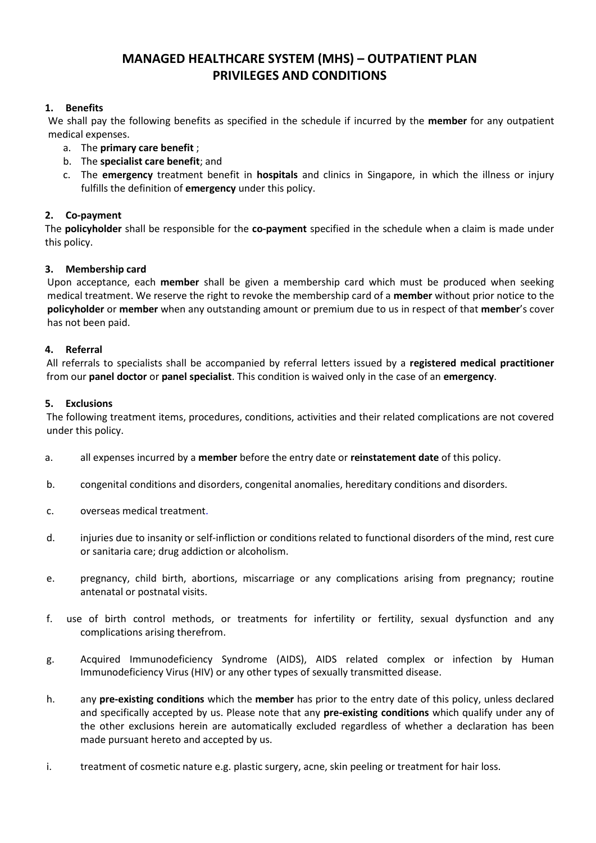# **MANAGED HEALTHCARE SYSTEM (MHS) – OUTPATIENT PLAN PRIVILEGES AND CONDITIONS**

# **1. Benefits**

We shall pay the following benefits as specified in the schedule if incurred by the **member** for any outpatient medical expenses.

- a. The **primary care benefit** ;
- b. The **specialist care benefit**; and
- c. The **emergency** treatment benefit in **hospitals** and clinics in Singapore, in which the illness or injury fulfills the definition of **emergency** under this policy.

# **2. Co-payment**

The **policyholder** shall be responsible for the **co-payment** specified in the schedule when a claim is made under this policy.

# **3. Membership card**

Upon acceptance, each **member** shall be given a membership card which must be produced when seeking medical treatment. We reserve the right to revoke the membership card of a **member** without prior notice to the **policyholder** or **member** when any outstanding amount or premium due to us in respect of that **member**'s cover has not been paid.

# **4. Referral**

All referrals to specialists shall be accompanied by referral letters issued by a **registered medical practitioner** from our **panel doctor** or **panel specialist**. This condition is waived only in the case of an **emergency**.

# **5. Exclusions**

The following treatment items, procedures, conditions, activities and their related complications are not covered under this policy.

- a. all expenses incurred by a **member** before the entry date or **reinstatement date** of this policy.
- b. congenital conditions and disorders, congenital anomalies, hereditary conditions and disorders.
- c. overseas medical treatment.
- d. injuries due to insanity or self-infliction or conditions related to functional disorders of the mind, rest cure or sanitaria care; drug addiction or alcoholism.
- e. pregnancy, child birth, abortions, miscarriage or any complications arising from pregnancy; routine antenatal or postnatal visits.
- f. use of birth control methods, or treatments for infertility or fertility, sexual dysfunction and any complications arising therefrom.
- g. Acquired Immunodeficiency Syndrome (AIDS), AIDS related complex or infection by Human Immunodeficiency Virus (HIV) or any other types of sexually transmitted disease.
- h. any **pre-existing conditions** which the **member** has prior to the entry date of this policy, unless declared and specifically accepted by us. Please note that any **pre-existing conditions** which qualify under any of the other exclusions herein are automatically excluded regardless of whether a declaration has been made pursuant hereto and accepted by us.
- i. treatment of cosmetic nature e.g. plastic surgery, acne, skin peeling or treatment for hair loss.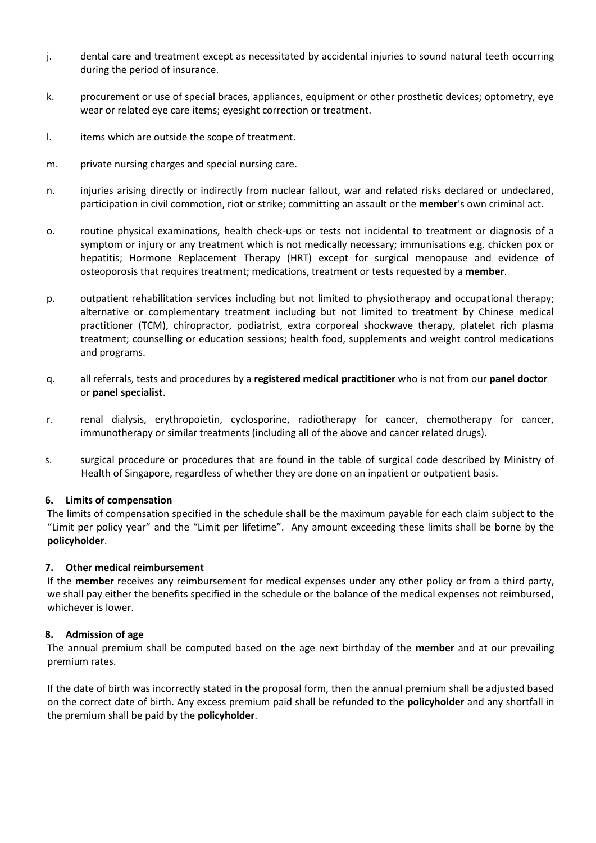- j. dental care and treatment except as necessitated by accidental injuries to sound natural teeth occurring during the period of insurance.
- k. procurement or use of special braces, appliances, equipment or other prosthetic devices; optometry, eye wear or related eye care items; eyesight correction or treatment.
- I. items which are outside the scope of treatment.
- m. private nursing charges and special nursing care.
- n. injuries arising directly or indirectly from nuclear fallout, war and related risks declared or undeclared, participation in civil commotion, riot or strike; committing an assault or the **member**'s own criminal act.
- o. routine physical examinations, health check-ups or tests not incidental to treatment or diagnosis of a symptom or injury or any treatment which is not medically necessary; immunisations e.g. chicken pox or hepatitis; Hormone Replacement Therapy (HRT) except for surgical menopause and evidence of osteoporosis that requires treatment; medications, treatment or tests requested by a **member**.
- p. outpatient rehabilitation services including but not limited to physiotherapy and occupational therapy; alternative or complementary treatment including but not limited to treatment by Chinese medical practitioner (TCM), chiropractor, podiatrist, extra corporeal shockwave therapy, platelet rich plasma treatment; counselling or education sessions; health food, supplements and weight control medications and programs.
- q. all referrals, tests and procedures by a **registered medical practitioner** who is not from our **panel doctor** or **panel specialist**.
- r. renal dialysis, erythropoietin, cyclosporine, radiotherapy for cancer, chemotherapy for cancer, immunotherapy or similar treatments (including all of the above and cancer related drugs).
- s. surgical procedure or procedures that are found in the table of surgical code described by Ministry of Health of Singapore, regardless of whether they are done on an inpatient or outpatient basis.

#### **6. Limits of compensation**

The limits of compensation specified in the schedule shall be the maximum payable for each claim subject to the "Limit per policy year" and the "Limit per lifetime". Any amount exceeding these limits shall be borne by the **policyholder**.

#### **7. Other medical reimbursement**

If the **member** receives any reimbursement for medical expenses under any other policy or from a third party, we shall pay either the benefits specified in the schedule or the balance of the medical expenses not reimbursed, whichever is lower.

#### **8. Admission of age**

The annual premium shall be computed based on the age next birthday of the **member** and at our prevailing premium rates.

If the date of birth was incorrectly stated in the proposal form, then the annual premium shall be adjusted based on the correct date of birth. Any excess premium paid shall be refunded to the **policyholder** and any shortfall in the premium shall be paid by the **policyholder**.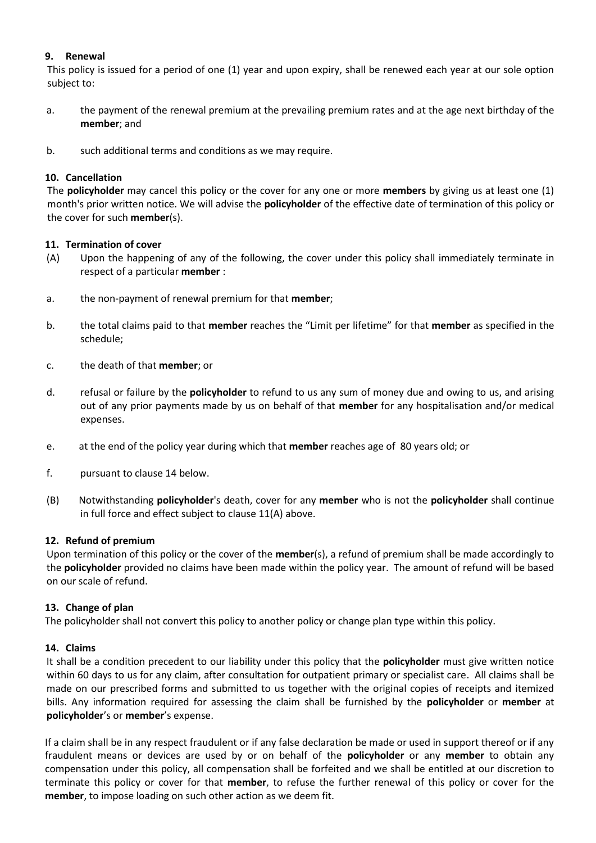# **9. Renewal**

This policy is issued for a period of one (1) year and upon expiry, shall be renewed each year at our sole option subject to:

- a. the payment of the renewal premium at the prevailing premium rates and at the age next birthday of the **member**; and
- b. such additional terms and conditions as we may require.

# **10. Cancellation**

The **policyholder** may cancel this policy or the cover for any one or more **members** by giving us at least one (1) month's prior written notice. We will advise the **policyholder** of the effective date of termination of this policy or the cover for such **member**(s).

# **11. Termination of cover**

- (A) Upon the happening of any of the following, the cover under this policy shall immediately terminate in respect of a particular **member** :
- a. the non-payment of renewal premium for that **member**;
- b. the total claims paid to that **member** reaches the "Limit per lifetime" for that **member** as specified in the schedule;
- c. the death of that **member**; or
- d. refusal or failure by the **policyholder** to refund to us any sum of money due and owing to us, and arising out of any prior payments made by us on behalf of that **member** for any hospitalisation and/or medical expenses.
- e. at the end of the policy year during which that **member** reaches age of 80 years old; or
- f. pursuant to clause 14 below.
- (B) Notwithstanding **policyholder**'s death, cover for any **member** who is not the **policyholder** shall continue in full force and effect subject to clause 11(A) above.

#### **12. Refund of premium**

Upon termination of this policy or the cover of the **member**(s), a refund of premium shall be made accordingly to the **policyholder** provided no claims have been made within the policy year. The amount of refund will be based on our scale of refund.

#### **13. Change of plan**

The policyholder shall not convert this policy to another policy or change plan type within this policy.

# **14. Claims**

It shall be a condition precedent to our liability under this policy that the **policyholder** must give written notice within 60 days to us for any claim, after consultation for outpatient primary or specialist care. All claims shall be made on our prescribed forms and submitted to us together with the original copies of receipts and itemized bills. Any information required for assessing the claim shall be furnished by the **policyholder** or **member** at **policyholder**'s or **member**'s expense.

If a claim shall be in any respect fraudulent or if any false declaration be made or used in support thereof or if any fraudulent means or devices are used by or on behalf of the **policyholder** or any **member** to obtain any compensation under this policy, all compensation shall be forfeited and we shall be entitled at our discretion to terminate this policy or cover for that **member**, to refuse the further renewal of this policy or cover for the **member**, to impose loading on such other action as we deem fit.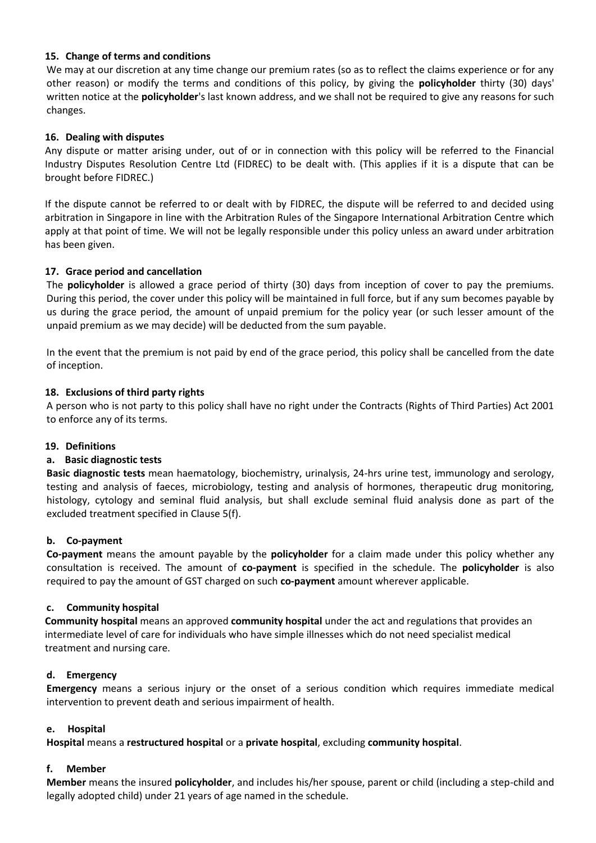# **15. Change of terms and conditions**

We may at our discretion at any time change our premium rates (so as to reflect the claims experience or for any other reason) or modify the terms and conditions of this policy, by giving the **policyholder** thirty (30) days' written notice at the **policyholder**'s last known address, and we shall not be required to give any reasons for such changes.

# **16. Dealing with disputes**

Any dispute or matter arising under, out of or in connection with this policy will be referred to the Financial Industry Disputes Resolution Centre Ltd (FIDREC) to be dealt with. (This applies if it is a dispute that can be brought before FIDREC.)

If the dispute cannot be referred to or dealt with by FIDREC, the dispute will be referred to and decided using arbitration in Singapore in line with the Arbitration Rules of the Singapore International Arbitration Centre which apply at that point of time. We will not be legally responsible under this policy unless an award under arbitration has been given.

# **17. Grace period and cancellation**

The **policyholder** is allowed a grace period of thirty (30) days from inception of cover to pay the premiums. During this period, the cover under this policy will be maintained in full force, but if any sum becomes payable by us during the grace period, the amount of unpaid premium for the policy year (or such lesser amount of the unpaid premium as we may decide) will be deducted from the sum payable.

In the event that the premium is not paid by end of the grace period, this policy shall be cancelled from the date of inception.

# **18. Exclusions of third party rights**

A person who is not party to this policy shall have no right under the Contracts (Rights of Third Parties) Act 2001 to enforce any of its terms.

#### **19. Definitions**

#### **a. Basic diagnostic tests**

**Basic diagnostic tests** mean haematology, biochemistry, urinalysis, 24-hrs urine test, immunology and serology, testing and analysis of faeces, microbiology, testing and analysis of hormones, therapeutic drug monitoring, histology, cytology and seminal fluid analysis, but shall exclude seminal fluid analysis done as part of the excluded treatment specified in Clause 5(f).

#### **b. Co-payment**

**Co-payment** means the amount payable by the **policyholder** for a claim made under this policy whether any consultation is received. The amount of **co-payment** is specified in the schedule. The **policyholder** is also required to pay the amount of GST charged on such **co-payment** amount wherever applicable.

#### **c. Community hospital**

**Community hospital** means an approved **community hospital** under the act and regulations that provides an intermediate level of care for individuals who have simple illnesses which do not need specialist medical treatment and nursing care.

#### **d. Emergency**

**Emergency** means a serious injury or the onset of a serious condition which requires immediate medical intervention to prevent death and serious impairment of health.

#### **e. Hospital**

**Hospital** means a **restructured hospital** or a **private hospital**, excluding **community hospital**.

# **f. Member**

**Member** means the insured **policyholder**, and includes his/her spouse, parent or child (including a step-child and legally adopted child) under 21 years of age named in the schedule.